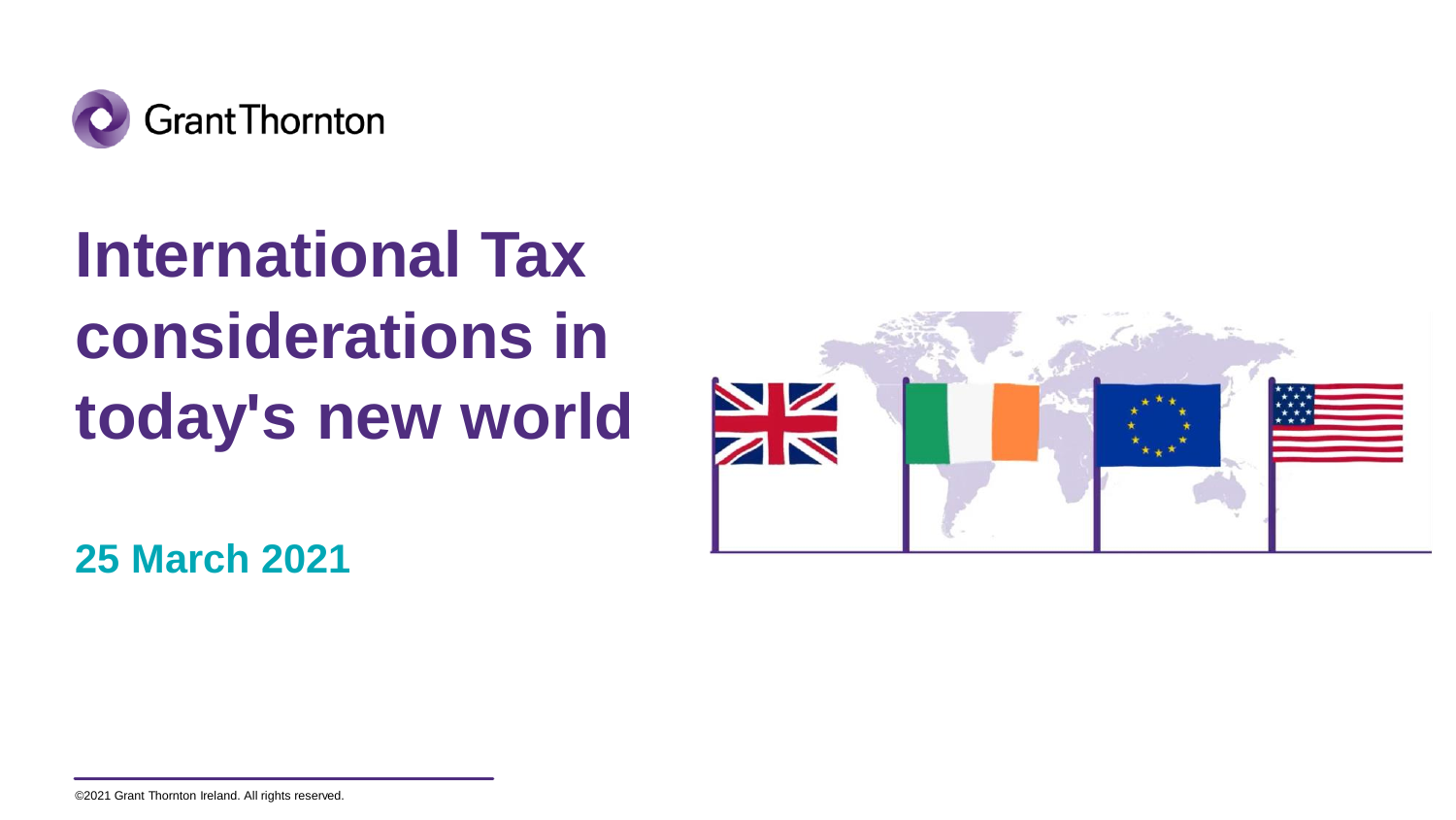

# **International Tax considerations in today's new world**



**25 March 2021**

©2021 Grant Thornton Ireland. All rights reserved.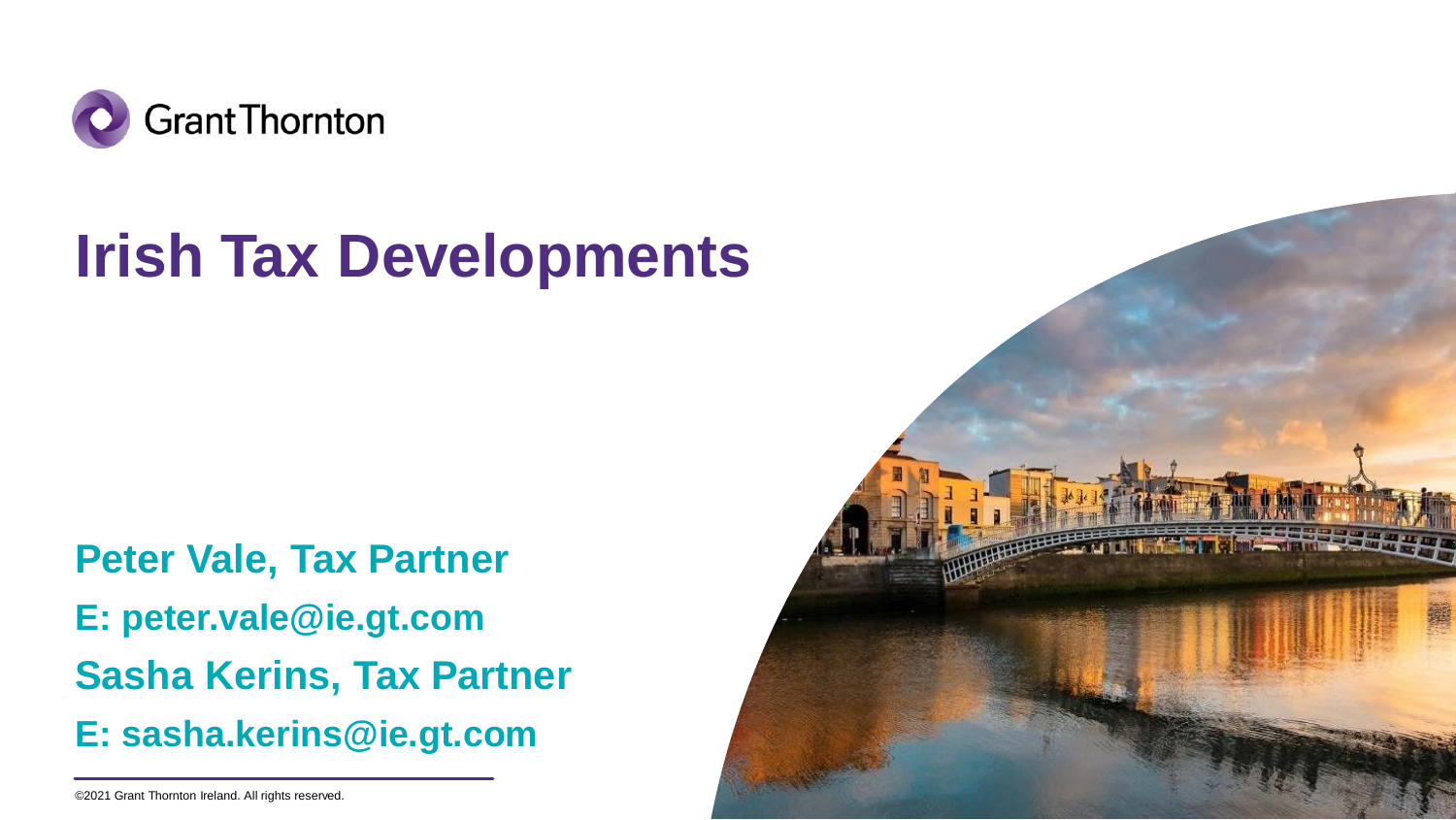

### **Irish Tax Developments**

**Peter Vale, Tax Partner E: peter.vale@ie.gt.com Sasha Kerins, Tax Partner E: sasha.kerins@ie.gt.com**



<sup>©2021</sup> Grant Thornton Ireland. All rights reserved.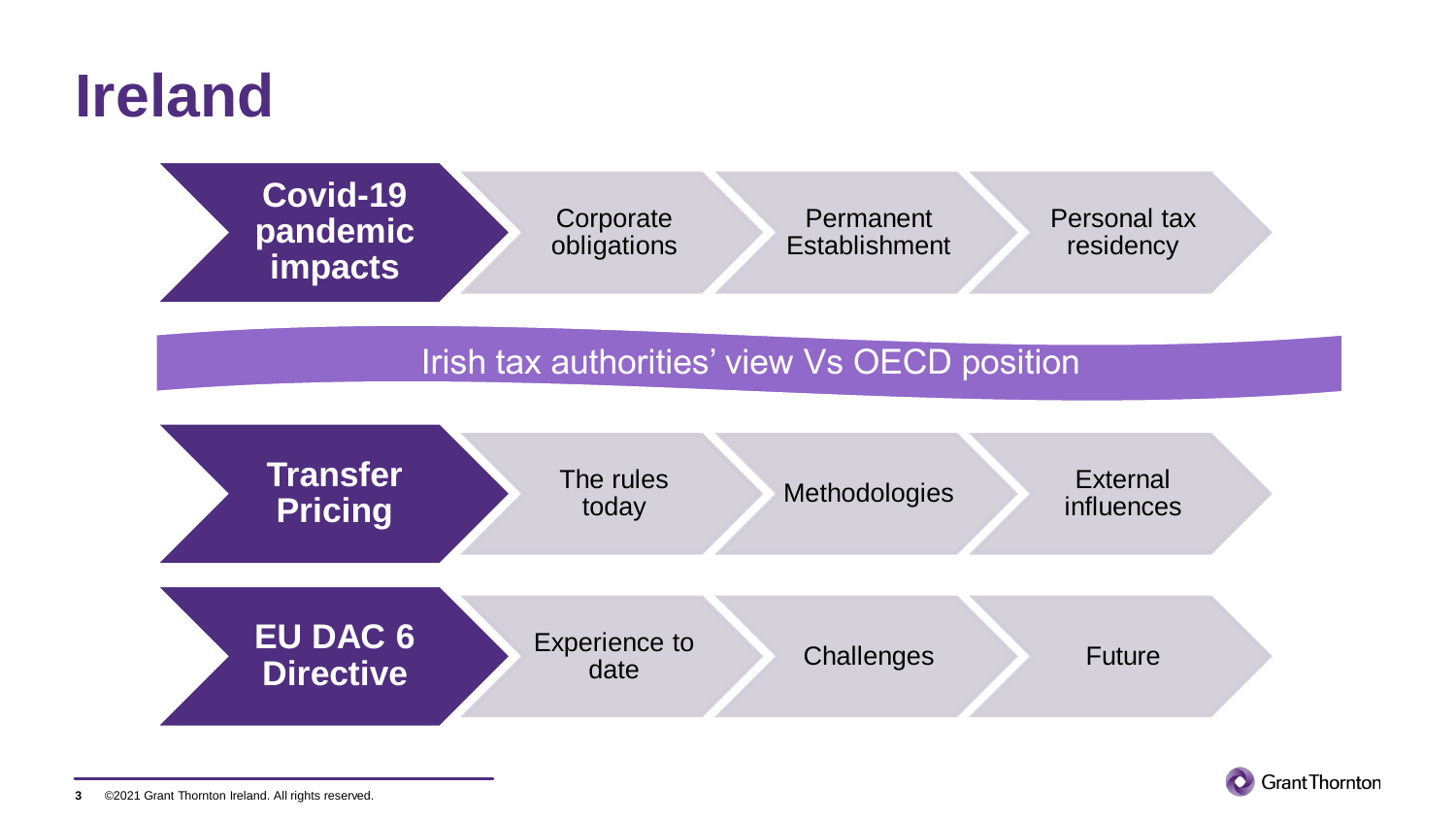### **Ireland**



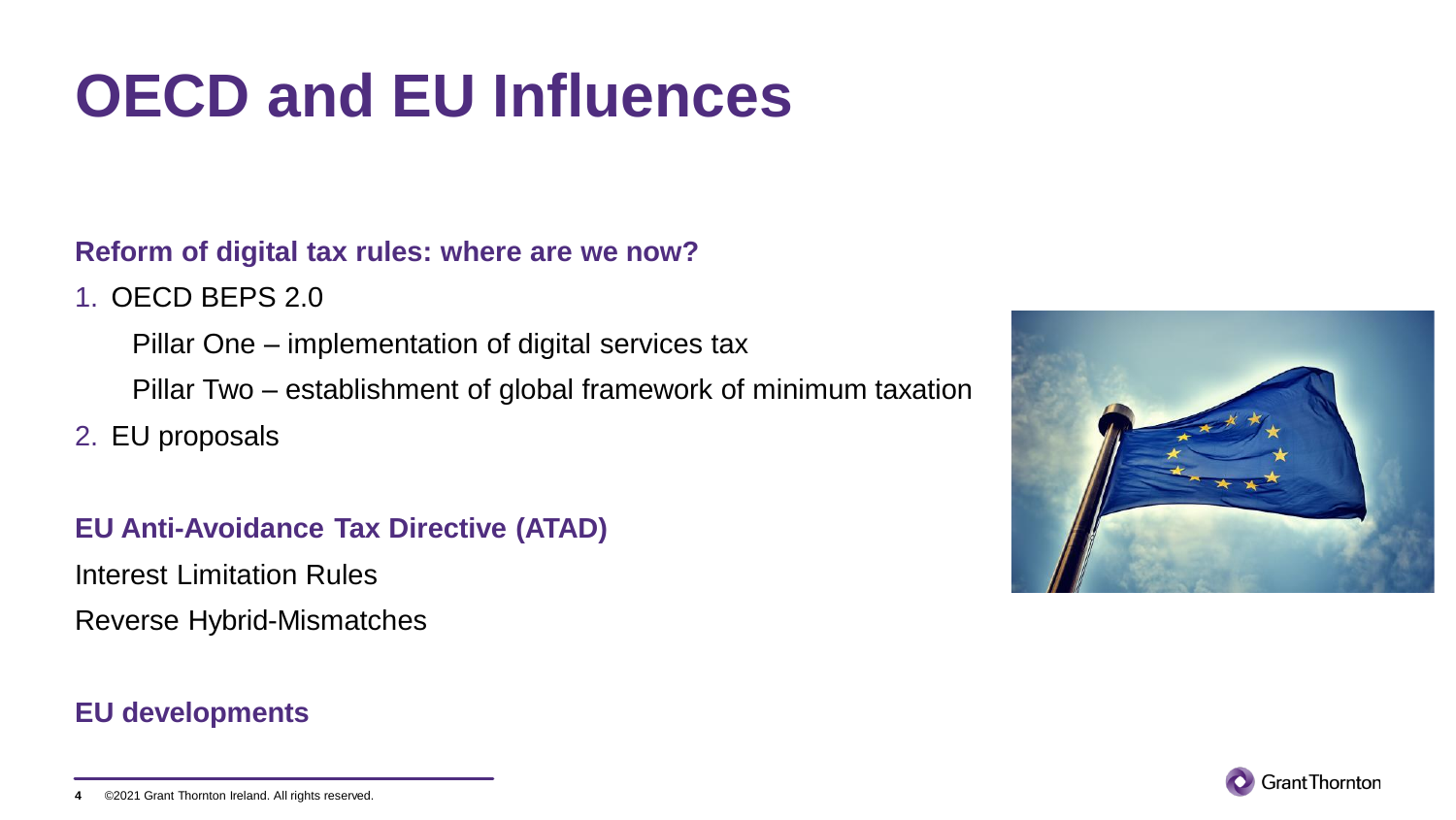# **OECD and EU Influences**

**Reform of digital tax rules: where are we now?**

1. OECD BEPS 2.0

Pillar One – implementation of digital services tax Pillar Two – establishment of global framework of minimum taxation

2. EU proposals

**EU Anti-Avoidance Tax Directive (ATAD)**

Interest Limitation Rules Reverse Hybrid-Mismatches

### **EU developments**





<sup>©2021</sup> Grant Thornton Ireland. All rights reserved. **4**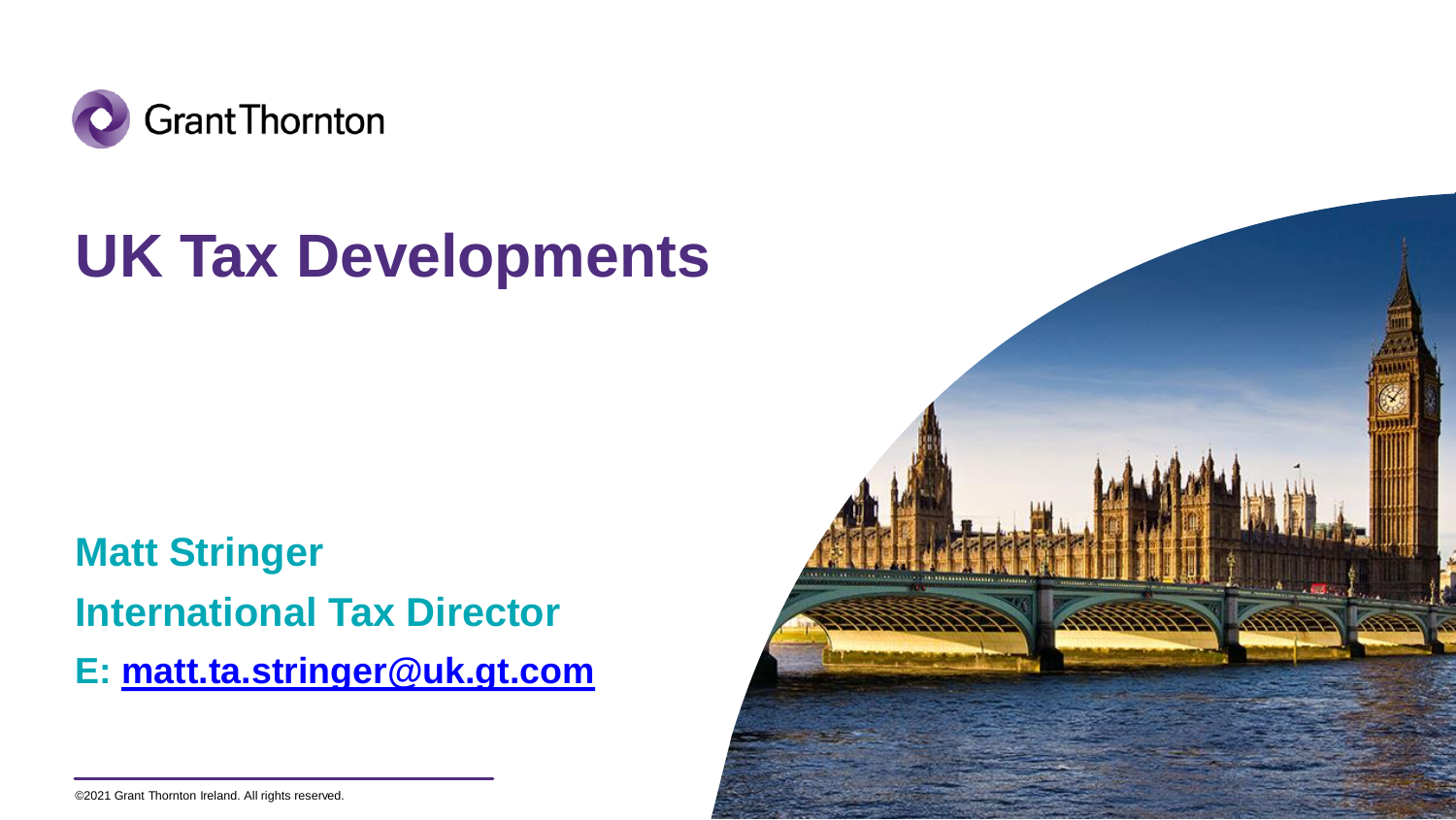

## **UK Tax Developments**

**Matt Stringer International Tax Director E: [matt.ta.stringer@uk.gt.com](mailto:matt.ta.stringer@uk.gt.com)**



<sup>©2021</sup> Grant Thornton Ireland. All rights reserved.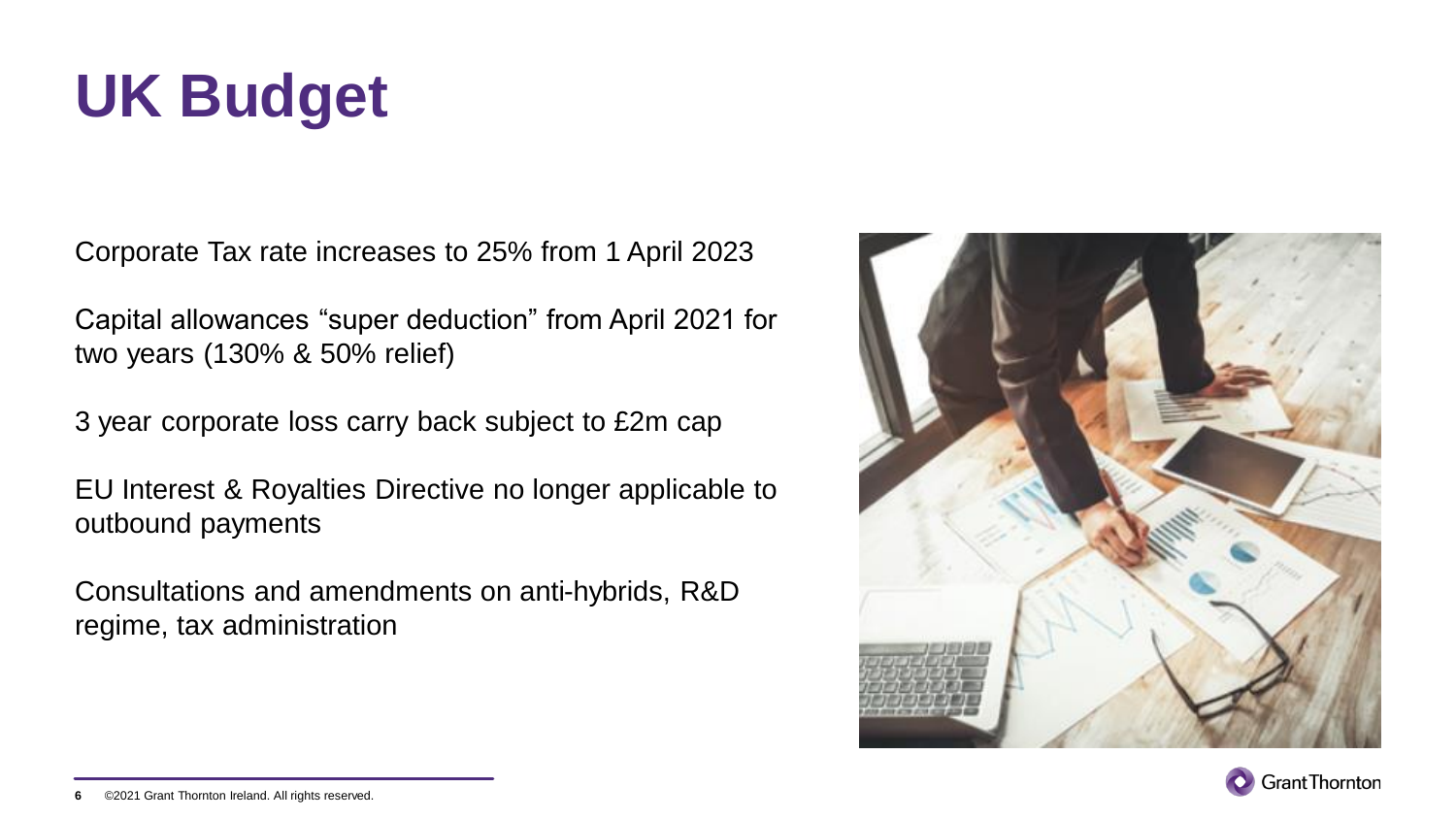# **UK Budget**

Corporate Tax rate increases to 25% from 1 April 2023

Capital allowances "super deduction" from April 2021 for two years (130% & 50% relief)

3 year corporate loss carry back subject to £2m cap

EU Interest & Royalties Directive no longer applicable to outbound payments

Consultations and amendments on anti-hybrids, R&D regime, tax administration





<sup>©2021</sup> Grant Thornton Ireland. All rights reserved. **6**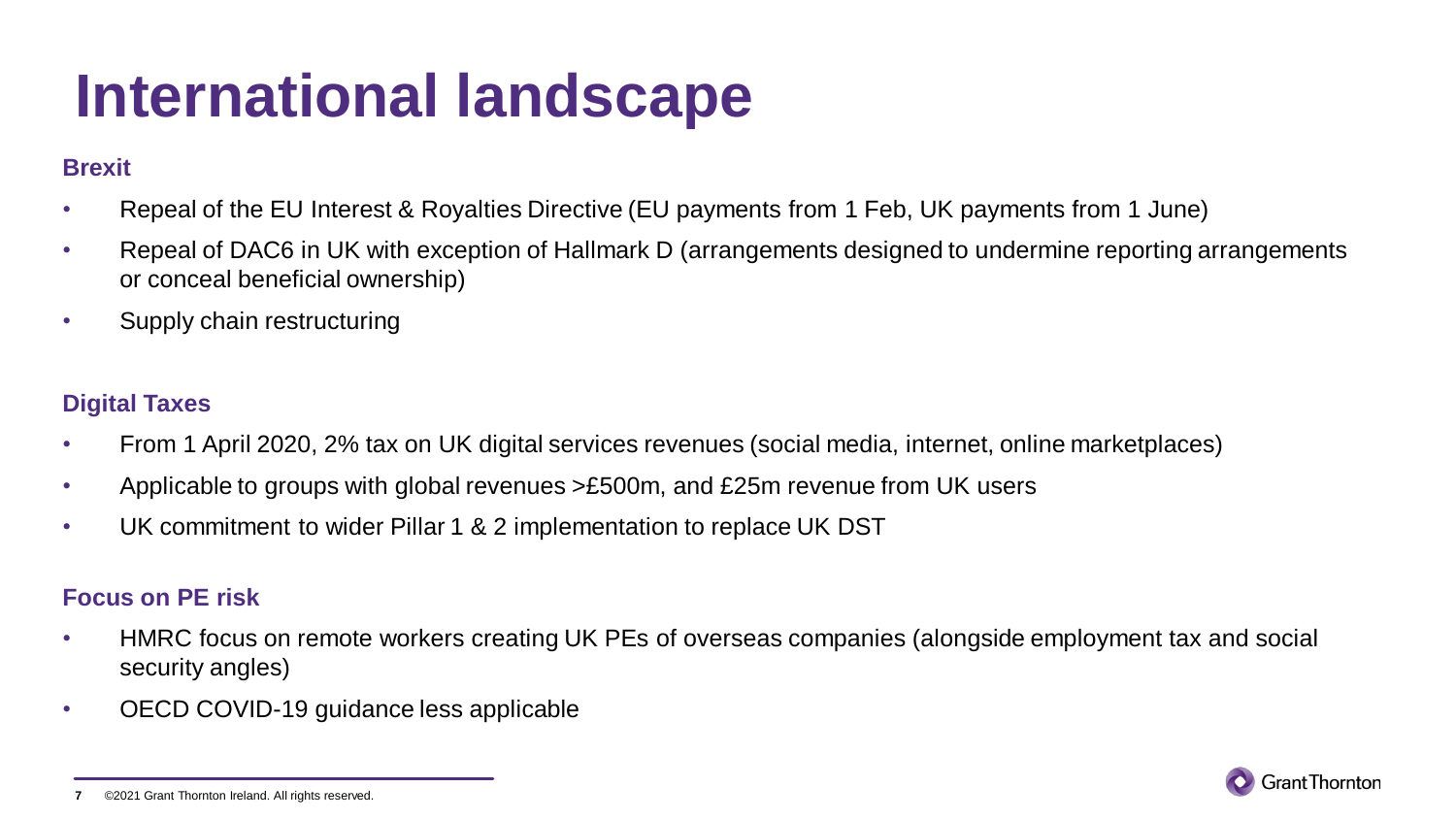### **International landscape**

#### **Brexit**

- Repeal of the EU Interest & Royalties Directive (EU payments from 1 Feb, UK payments from 1 June)
- Repeal of DAC6 in UK with exception of Hallmark D (arrangements designed to undermine reporting arrangements or conceal beneficial ownership)
- Supply chain restructuring

#### **Digital Taxes**

- From 1 April 2020, 2% tax on UK digital services revenues (social media, internet, online marketplaces)
- Applicable to groups with global revenues >£500m, and £25m revenue from UK users
- UK commitment to wider Pillar 1 & 2 implementation to replace UK DST

#### **Focus on PE risk**

- HMRC focus on remote workers creating UK PEs of overseas companies (alongside employment tax and social security angles)
- OECD COVID-19 guidance less applicable



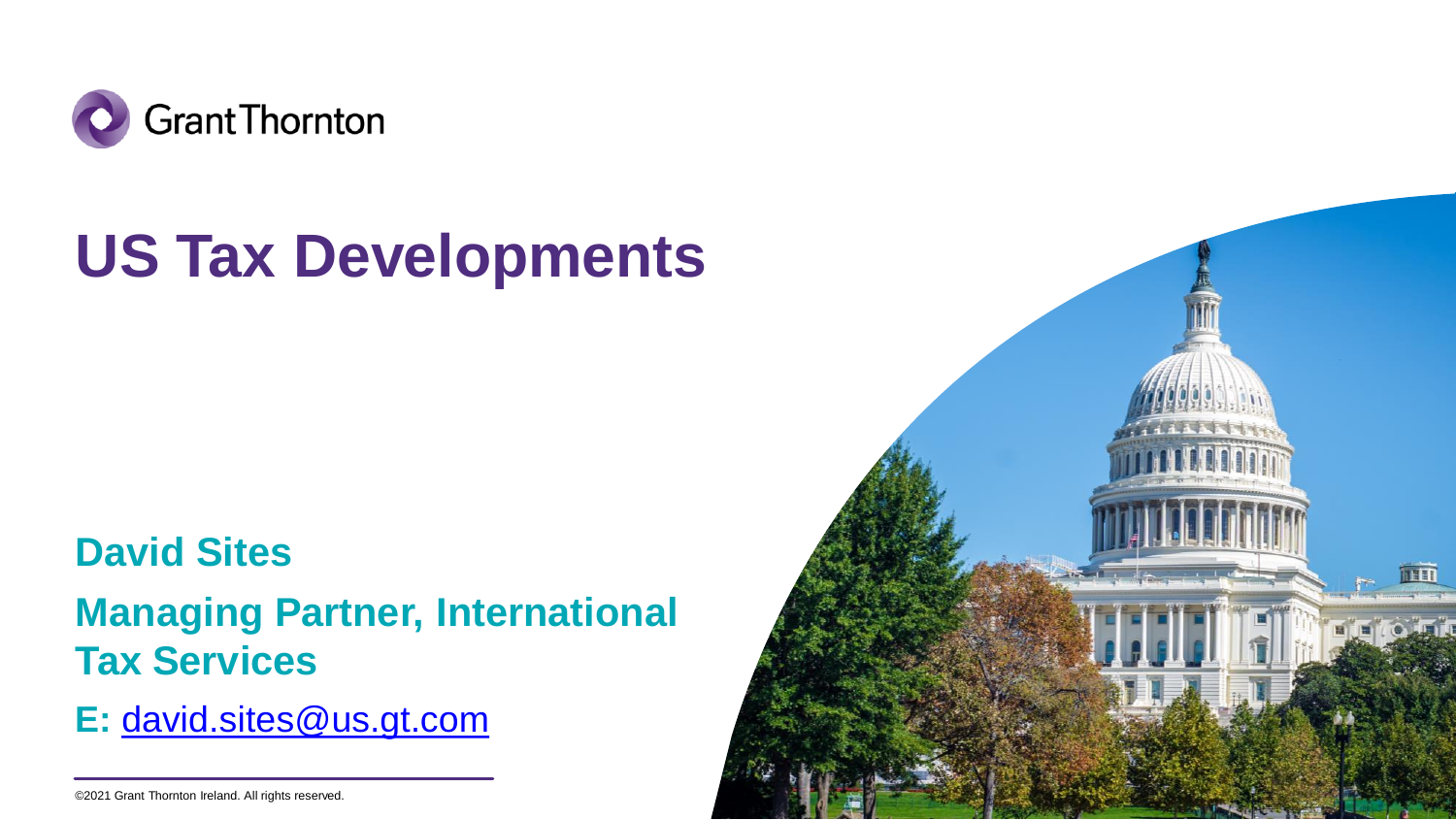

## **US Tax Developments**

### **David Sites**

### **Managing Partner, International Tax Services**

**E:** [david.sites@us.gt.com](mailto:david.sites@us.gt.com)



<sup>©2021</sup> Grant Thornton Ireland. All rights reserved.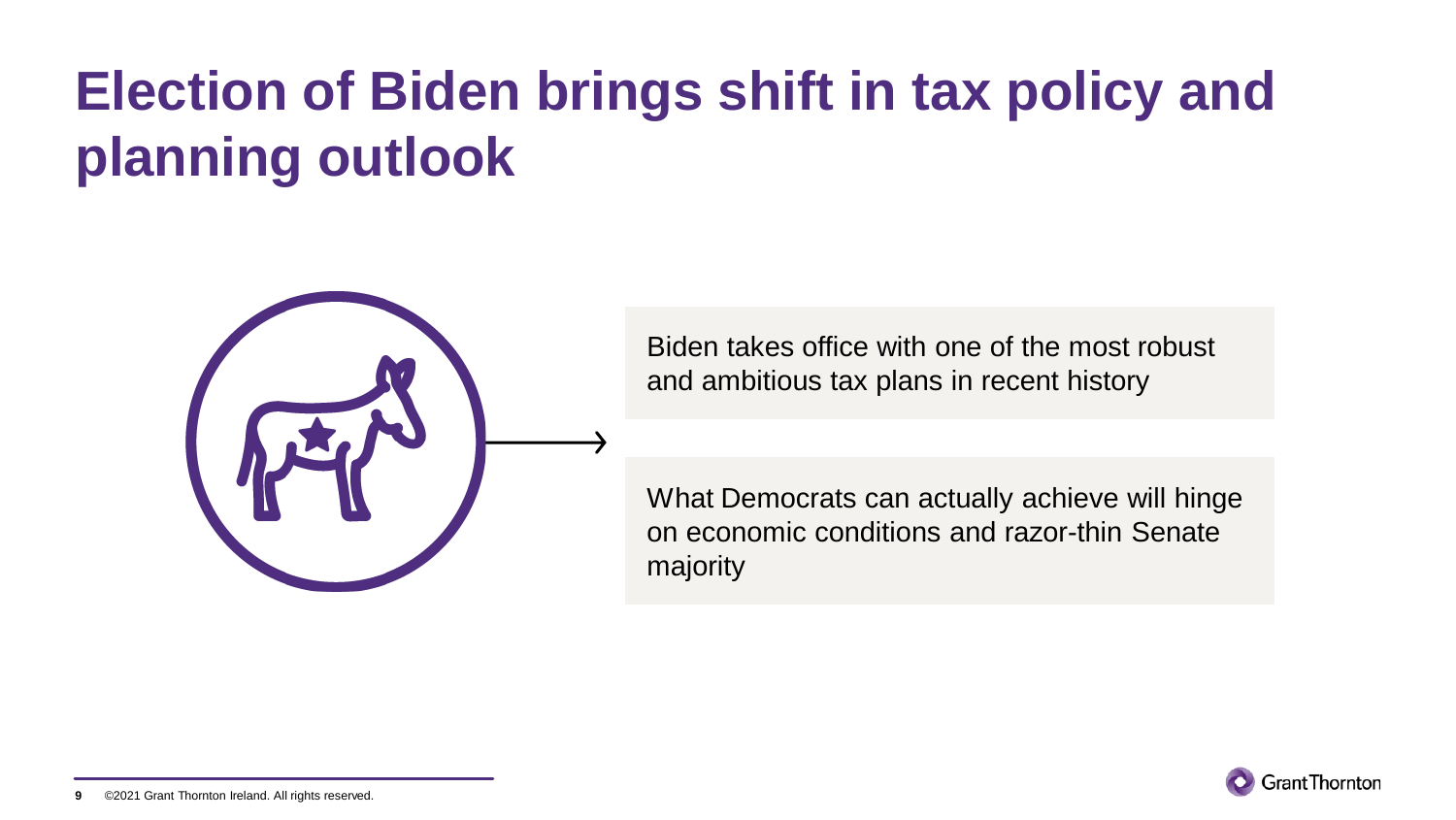### **Election of Biden brings shift in tax policy and planning outlook**



Biden takes office with one of the most robust and ambitious tax plans in recent history

What Democrats can actually achieve will hinge on economic conditions and razor-thin Senate majority



©2021 Grant Thornton Ireland. All rights reserved. **9**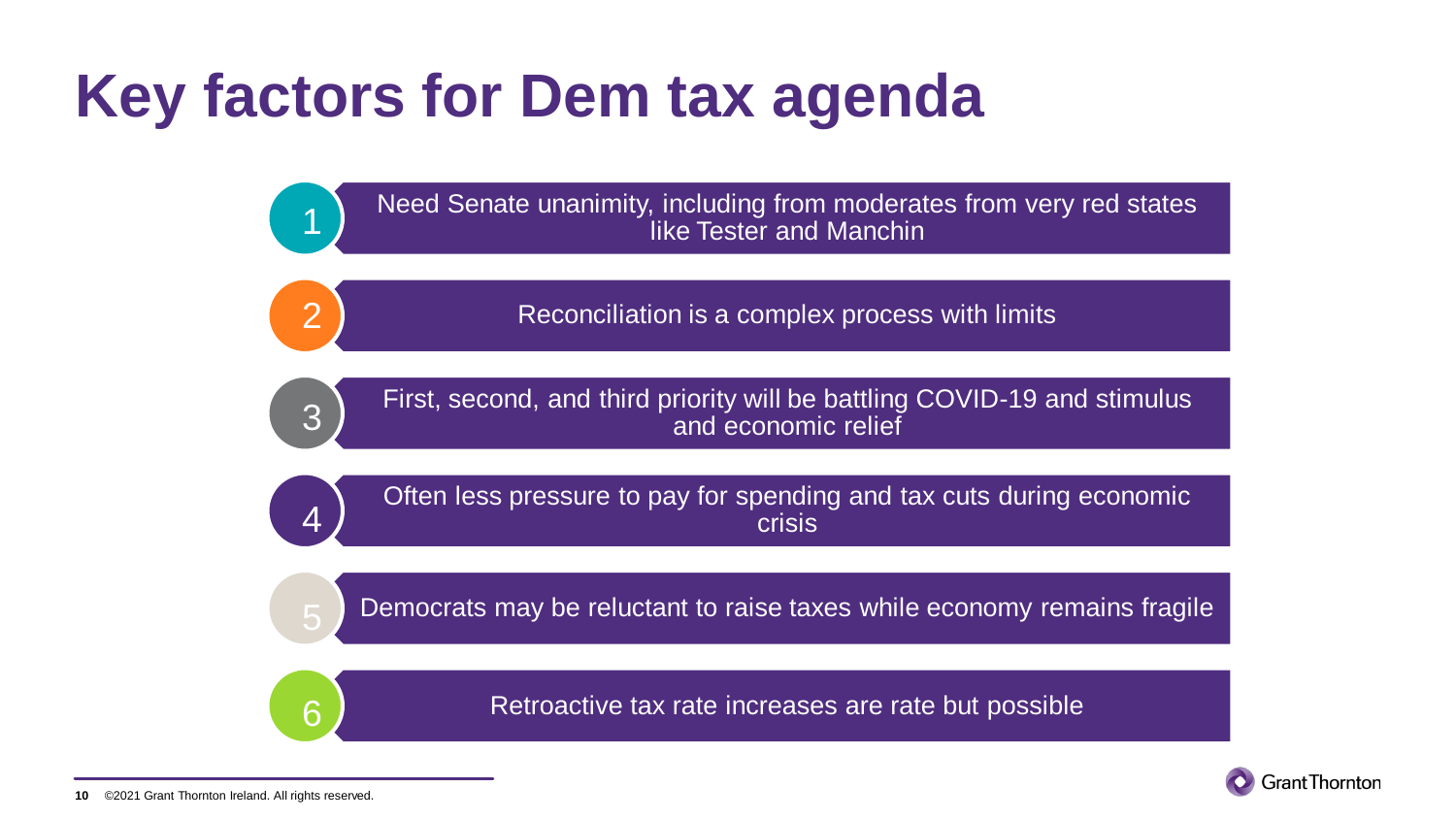### **Key factors for Dem tax agenda**

Need Senate unanimity, including from moderates from very red states like Tester and Manchin

Reconciliation is a complex process with limits

3

4

6

1

2

First, second, and third priority will be battling COVID-19 and stimulus and economic relief

Often less pressure to pay for spending and tax cuts during economic crisis

Democrats may be reluctant to raise taxes while economy remains fragile

Retroactive tax rate increases are rate but possible

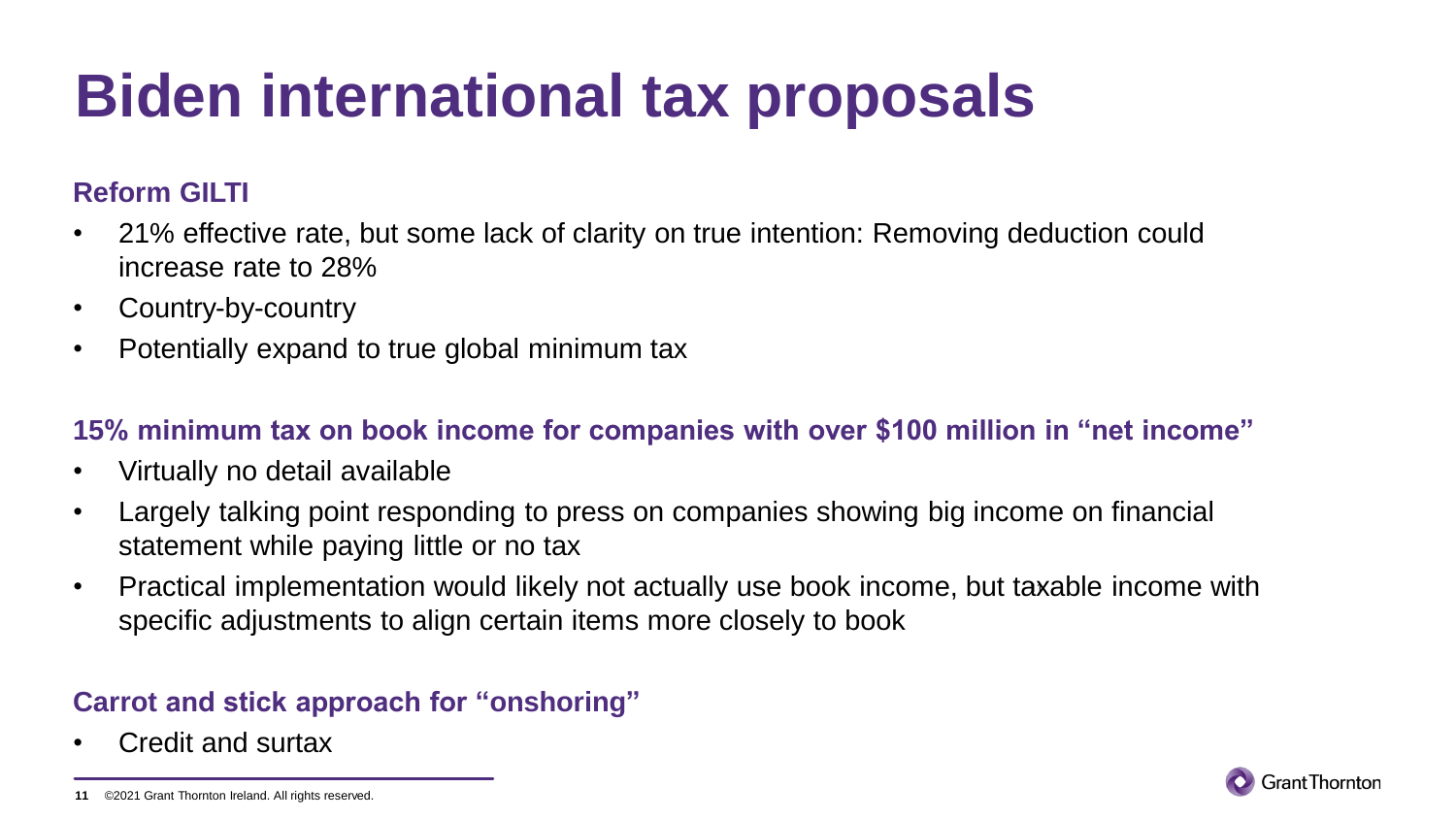# **Biden international tax proposals**

### **Reform GILTI**

- 21% effective rate, but some lack of clarity on true intention: Removing deduction could increase rate to 28%
- Country-by-country
- Potentially expand to true global minimum tax

### **15% minimum tax on book income for companies with over \$100 million in "net income"**

- Virtually no detail available
- Largely talking point responding to press on companies showing big income on financial statement while paying little or no tax
- Practical implementation would likely not actually use book income, but taxable income with specific adjustments to align certain items more closely to book

### **Carrot and stick approach for "onshoring"**

• Credit and surtax



<sup>©2021</sup> Grant Thornton Ireland. All rights reserved. **11**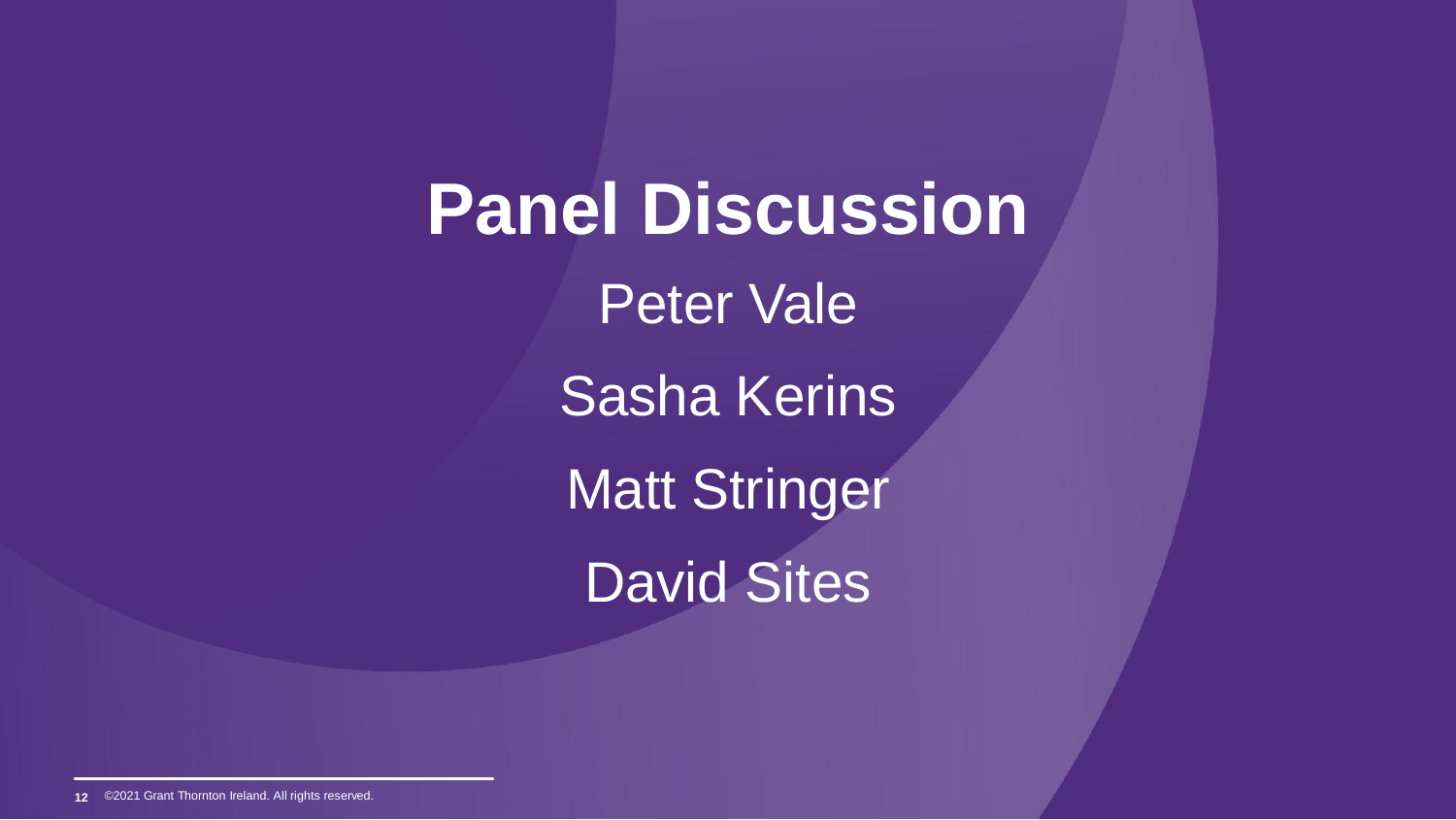**Panel Discussion** Peter Vale Sasha Kerins Matt Stringer David Sites